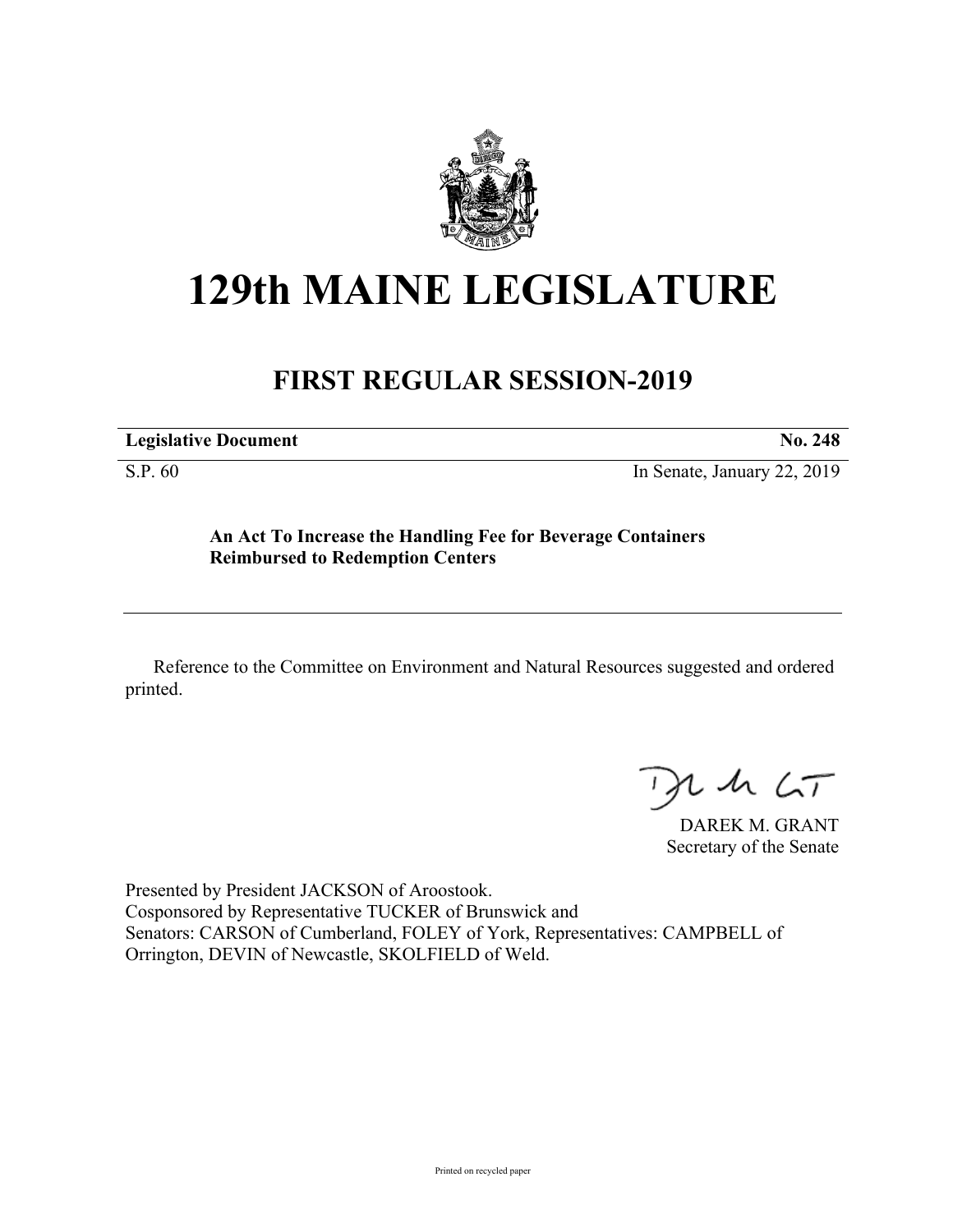

## **129th MAINE LEGISLATURE**

## **FIRST REGULAR SESSION-2019**

| <b>Legislative Document</b> |  |
|-----------------------------|--|
|-----------------------------|--|

S.P. 60 In Senate, January 22, 2019

**An Act To Increase the Handling Fee for Beverage Containers Reimbursed to Redemption Centers**

Reference to the Committee on Environment and Natural Resources suggested and ordered printed.

 $425$ 

DAREK M. GRANT Secretary of the Senate

Presented by President JACKSON of Aroostook. Cosponsored by Representative TUCKER of Brunswick and Senators: CARSON of Cumberland, FOLEY of York, Representatives: CAMPBELL of Orrington, DEVIN of Newcastle, SKOLFIELD of Weld.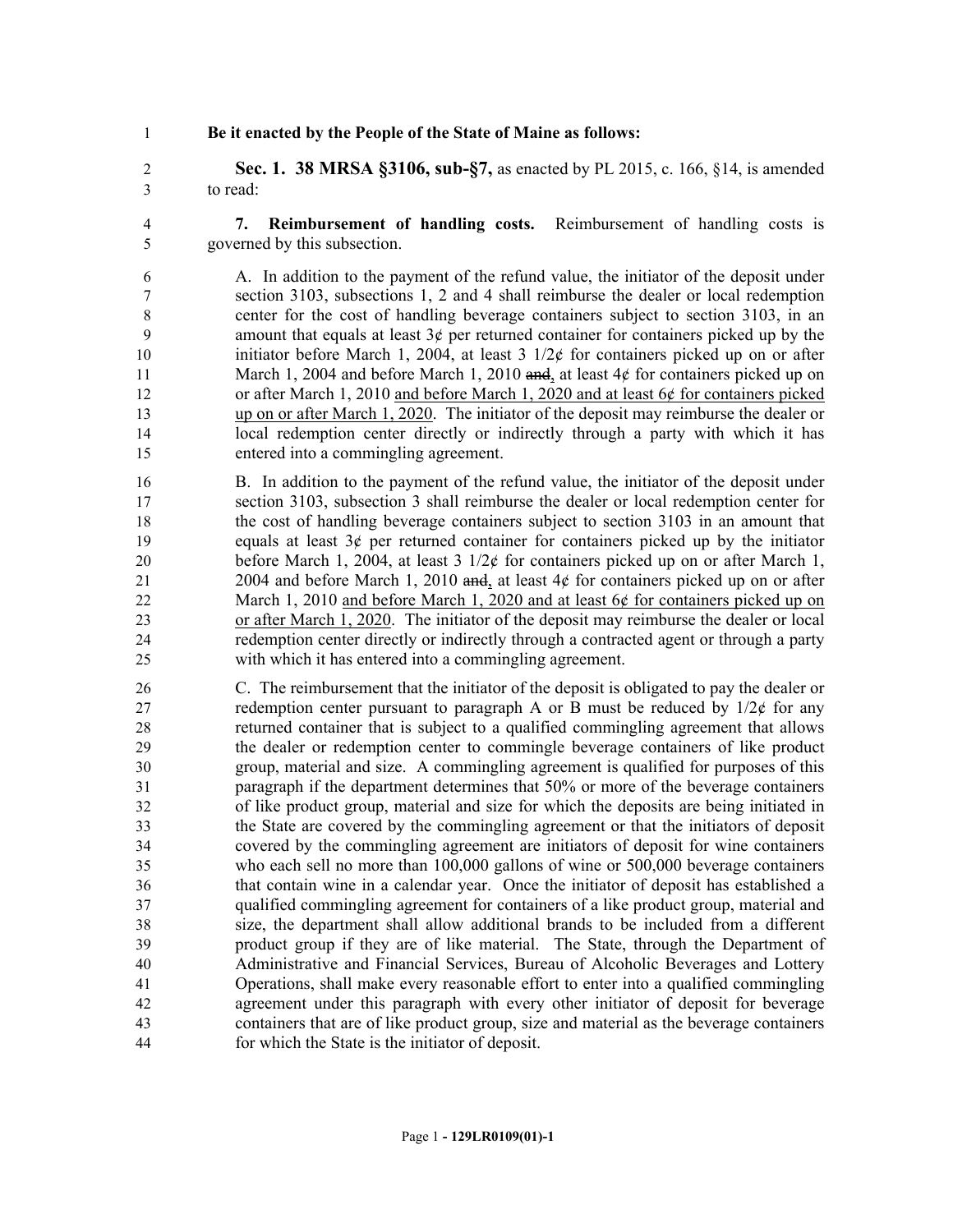**Be it enacted by the People of the State of Maine as follows:**

 **Sec. 1. 38 MRSA §3106, sub-§7,** as enacted by PL 2015, c. 166, §14, is amended to read:

- **7. Reimbursement of handling costs.** Reimbursement of handling costs is governed by this subsection.
- A. In addition to the payment of the refund value, the initiator of the deposit under section 3103, subsections 1, 2 and 4 shall reimburse the dealer or local redemption center for the cost of handling beverage containers subject to section 3103, in an 9 amount that equals at least  $3¢$  per returned container for containers picked up by the 10 initiator before March 1, 2004, at least  $3 \frac{1}{2} \notin \mathbb{C}$  for containers picked up on or after 11 March 1, 2004 and before March 1, 2010 and, at least 4¢ for containers picked up on 12 or after March 1, 2010 and before March 1, 2020 and at least 6¢ for containers picked up on or after March 1, 2020. The initiator of the deposit may reimburse the dealer or local redemption center directly or indirectly through a party with which it has entered into a commingling agreement.
- B. In addition to the payment of the refund value, the initiator of the deposit under section 3103, subsection 3 shall reimburse the dealer or local redemption center for the cost of handling beverage containers subject to section 3103 in an amount that 19 equals at least  $3¢$  per returned container for containers picked up by the initiator 20 before March 1, 2004, at least  $3 \frac{1}{2}$  for containers picked up on or after March 1, 2004 and before March 1, 2010 and, at least 4¢ for containers picked up on or after March 1, 2010 and before March 1, 2020 and at least 6¢ for containers picked up on or after March 1, 2020. The initiator of the deposit may reimburse the dealer or local redemption center directly or indirectly through a contracted agent or through a party with which it has entered into a commingling agreement.
- C. The reimbursement that the initiator of the deposit is obligated to pay the dealer or 27 redemption center pursuant to paragraph A or B must be reduced by  $1/2¢$  for any returned container that is subject to a qualified commingling agreement that allows the dealer or redemption center to commingle beverage containers of like product group, material and size. A commingling agreement is qualified for purposes of this paragraph if the department determines that 50% or more of the beverage containers of like product group, material and size for which the deposits are being initiated in the State are covered by the commingling agreement or that the initiators of deposit covered by the commingling agreement are initiators of deposit for wine containers who each sell no more than 100,000 gallons of wine or 500,000 beverage containers that contain wine in a calendar year. Once the initiator of deposit has established a qualified commingling agreement for containers of a like product group, material and size, the department shall allow additional brands to be included from a different product group if they are of like material. The State, through the Department of Administrative and Financial Services, Bureau of Alcoholic Beverages and Lottery Operations, shall make every reasonable effort to enter into a qualified commingling agreement under this paragraph with every other initiator of deposit for beverage containers that are of like product group, size and material as the beverage containers for which the State is the initiator of deposit.